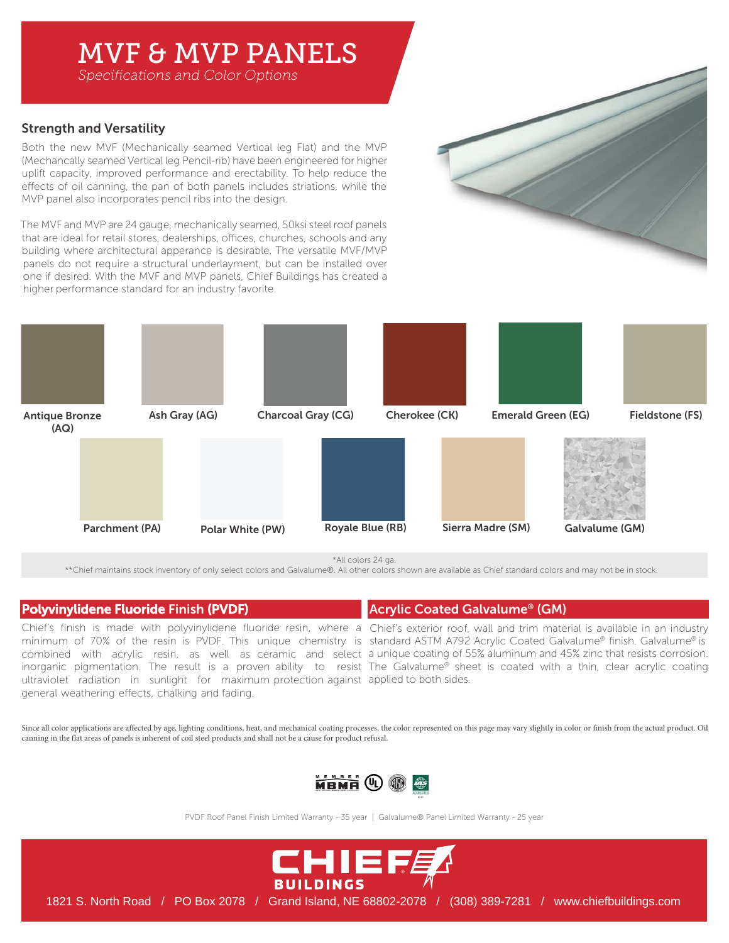# MVF & MVP PANELS

*Specifications and Color Options*

# Strength and Versatility

Both the new MVF (Mechanically seamed Vertical leg Flat) and the MVP (Mechancally seamed Vertical leg Pencil-rib) have been engineered for higher uplift capacity, improved performance and erectability. To help reduce the effects of oil canning, the pan of both panels includes striations, while the MVP panel also incorporates pencil ribs into the design.

The MVF and MVP are 24 gauge, mechanically seamed, 50ksi steel roof panels that are ideal for retail stores, dealerships, offices, churches, schools and any building where architectural apperance is desirable. The versatile MVF/MVP panels do not require a structural underlayment, but can be installed over one if desired. With the MVF and MVP panels, Chief Buildings has created a higher performance standard for an industry favorite.



\*All colors 24 ga.

\*\*Chief maintains stock inventory of only select colors and Galvalume®. All other colors shown are available as Chief standard colors and may not be in stock.

# Polyvinylidene Fluoride Finish (PVDF)

ultraviolet radiation in sunlight for maximum protection against applied to both sides. general weathering effects, chalking and fading.

Chief's finish is made with polyvinylidene fluoride resin, where a Chief's exterior roof, wall and trim material is available in an industry minimum of 70% of the resin is PVDF. This unique chemistry is standard ASTM A792 Acrylic Coated Galvalume® finish. Galvalume® is combined with acrylic resin, as well as ceramic and select a unique coating of 55% aluminum and 45% zinc that resists corrosion. inorganic pigmentation. The result is a proven ability to resist The Galvalume® sheet is coated with a thin, clear acrylic coating

Acrylic Coated Galvalume® (GM)

Since all color applications are affected by age, lighting conditions, heat, and mechanical coating processes, the color represented on this page may vary slightly in color or finish from the actual product. Oil canning in the flat areas of panels is inherent of coil steel products and shall not be a cause for product refusal.



PVDF Roof Panel Finish Limited Warranty - 35 year | Galvalume® Panel Limited Warranty - 25 year



1821 S. North Road / PO Box 2078 / Grand Island, NE 68802-2078 / (308) 389-7281 / www.chiefbuildings.com